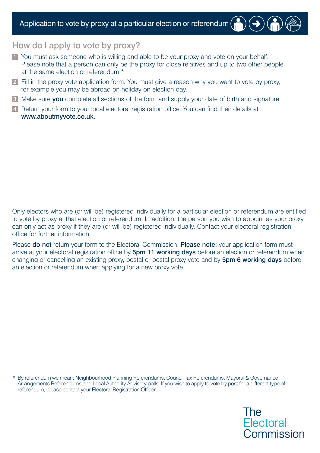## How do I apply to vote by proxy?

- 1 You must ask someone who is willing and able to be your proxy and vote on your behalf. Please note that a person can only be the proxy for close relatives and up to two other people at the same election or referendum.\*
- 2 Fill in the proxy vote application form. You must give a reason why you want to vote by proxy, for example you may be abroad on holiday on election day.
- 3 Make sure you complete all sections of the form and supply your date of birth and signature.
- 4 Return your form to your local electoral registration office. You can find their details at www.aboutmyvote.co.uk.

Only electors who are (or will be) registered individually for a particular election or referendum are entitled to vote by proxy at that election or referendum. In addition, the person you wish to appoint as your proxy can only act as proxy if they are (or will be) registered individually. Contact your electoral registration office for further information.

Please **do not** return your form to the Electoral Commission. **Please note:** your application form must arrive at your electoral registration office by 5pm 11 working days before an election or referendum when changing or cancelling an existing proxy, postal or postal proxy vote and by 5pm 6 working days before an election or referendum when applying for a new proxy vote.

\* By referendum we mean: Neighbourhood Planning Referendums, Council Tax Referendums, Mayoral & Governance Arrangements Referendums and Local Authority Advisory polls. If you wish to apply to vote by post for a different type of referendum, please contact your Electoral Registration Officer.

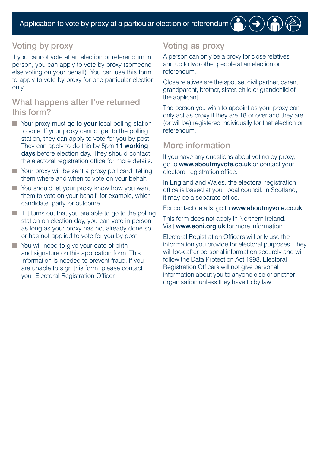# Voting by proxy

 else voting on your behalf). You can use this form to apply to vote by proxy for one particular election If you cannot vote at an election or referendum in person, you can apply to vote by proxy (someone only.

## What happens after I've returned this form?

- Your proxy must go to **your** local polling station to vote. If your proxy cannot get to the polling station, they can apply to vote for you by post. They can apply to do this by 5pm 11 working days before election day. They should contact the electoral registration office for more details.
- Your proxy will be sent a proxy poll card, telling them where and when to vote on your behalf.
- You should let your proxy know how you want them to vote on your behalf, for example, which candidate, party, or outcome.
- $\blacksquare$  If it turns out that you are able to go to the polling station on election day, you can vote in person as long as your proxy has not already done so or has not applied to vote for you by post.
- You will need to give your date of birth and signature on this application form. This information is needed to prevent fraud. If you are unable to sign this form, please contact your Electoral Registration Officer.

## Voting as proxy

A person can only be a proxy for close relatives and up to two other people at an election or referendum.

Close relatives are the spouse, civil partner, parent, grandparent, brother, sister, child or grandchild of the applicant.

The person you wish to appoint as your proxy can only act as proxy if they are 18 or over and they are (or will be) registered individually for that election or referendum.

# More information

If you have any questions about voting by proxy, go to www.aboutmyvote.co.uk or contact your electoral registration office.

In England and Wales, the electoral registration office is based at your local council. In Scotland, it may be a separate office.

For contact details, go to www.aboutmyvote.co.uk

This form does not apply in Northern Ireland. Visit www.eoni.org.uk for more information.

Electoral Registration Officers will only use the information you provide for electoral purposes. They will look after personal information securely and will follow the Data Protection Act 1998. Electoral Registration Officers will not give personal information about you to anyone else or another organisation unless they have to by law.